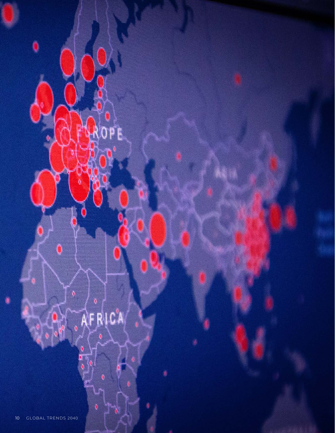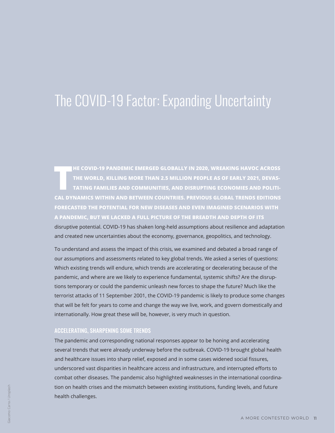# The COVID-19 Factor: Expanding Uncertainty

**T HE COVID-19 PANDEMIC EMERGED GLOBALLY IN 2020, WREAKING HAVOC ACROSS THE WORLD, KILLING MORE THAN 2.5 MILLION PEOPLE AS OF EARLY 2021, DEVAS-TATING FAMILIES AND COMMUNITIES, AND DISRUPTING ECONOMIES AND POLITI-CAL DYNAMICS WITHIN AND BETWEEN COUNTRIES. PREVIOUS GLOBAL TRENDS EDITIONS FORECASTED THE POTENTIAL FOR NEW DISEASES AND EVEN IMAGINED SCENARIOS WITH A PANDEMIC, BUT WE LACKED A FULL PICTURE OF THE BREADTH AND DEPTH OF ITS** 

disruptive potential. COVID-19 has shaken long-held assumptions about resilience and adaptation and created new uncertainties about the economy, governance, geopolitics, and technology.

To understand and assess the impact of this crisis, we examined and debated a broad range of our assumptions and assessments related to key global trends. We asked a series of questions: Which existing trends will endure, which trends are accelerating or decelerating because of the pandemic, and where are we likely to experience fundamental, systemic shifts? Are the disruptions temporary or could the pandemic unleash new forces to shape the future? Much like the terrorist attacks of 11 September 2001, the COVID-19 pandemic is likely to produce some changes that will be felt for years to come and change the way we live, work, and govern domestically and internationally. How great these will be, however, is very much in question.

## ACCELERATING, SHARPENING SOME TRENDS

The pandemic and corresponding national responses appear to be honing and accelerating several trends that were already underway before the outbreak. COVID-19 brought global health and healthcare issues into sharp relief, exposed and in some cases widened social fissures, underscored vast disparities in healthcare access and infrastructure, and interrupted efforts to combat other diseases. The pandemic also highlighted weaknesses in the international coordination on health crises and the mismatch between existing institutions, funding levels, and future health challenges.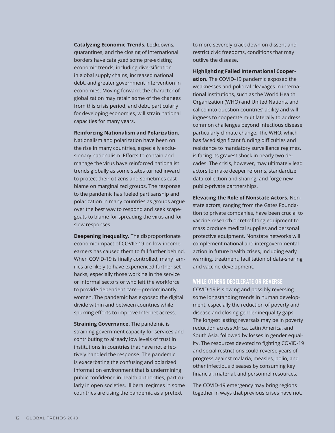**Catalyzing Economic Trends.** Lockdowns, quarantines, and the closing of international borders have catalyzed some pre-existing economic trends, including diversification in global supply chains, increased national debt, and greater government intervention in economies. Moving forward, the character of globalization may retain some of the changes from this crisis period, and debt, particularly for developing economies, will strain national capacities for many years.

#### **Reinforcing Nationalism and Polarization.**

Nationalism and polarization have been on the rise in many countries, especially exclusionary nationalism. Efforts to contain and manage the virus have reinforced nationalist trends globally as some states turned inward to protect their citizens and sometimes cast blame on marginalized groups. The response to the pandemic has fueled partisanship and polarization in many countries as groups argue over the best way to respond and seek scapegoats to blame for spreading the virus and for slow responses.

**Deepening Inequality.** The disproportionate economic impact of COVID-19 on low-income earners has caused them to fall further behind. When COVID-19 is finally controlled, many families are likely to have experienced further setbacks, especially those working in the service or informal sectors or who left the workforce to provide dependent care—predominantly women. The pandemic has exposed the digital divide within and between countries while spurring efforts to improve Internet access.

**Straining Governance.** The pandemic is straining government capacity for services and contributing to already low levels of trust in institutions in countries that have not effectively handled the response. The pandemic is exacerbating the confusing and polarized information environment that is undermining public confidence in health authorities, particularly in open societies. Illiberal regimes in some countries are using the pandemic as a pretext

to more severely crack down on dissent and restrict civic freedoms, conditions that may outlive the disease.

**Highlighting Failed International Cooperation.** The COVID-19 pandemic exposed the weaknesses and political cleavages in international institutions, such as the World Health Organization (WHO) and United Nations, and called into question countries' ability and willingness to cooperate multilaterally to address common challenges beyond infectious disease, particularly climate change. The WHO, which has faced significant funding difficulties and resistance to mandatory surveillance regimes, is facing its gravest shock in nearly two decades. The crisis, however, may ultimately lead actors to make deeper reforms, standardize data collection and sharing, and forge new public-private partnerships.

**Elevating the Role of Nonstate Actors.** Nonstate actors, ranging from the Gates Foundation to private companies, have been crucial to vaccine research or retrofitting equipment to mass produce medical supplies and personal protective equipment. Nonstate networks will complement national and intergovernmental action in future health crises, including early warning, treatment, facilitation of data-sharing, and vaccine development.

#### WHILE OTHERS DECELERATE OR REVERSE

COVID-19 is slowing and possibly reversing some longstanding trends in human development, especially the reduction of poverty and disease and closing gender inequality gaps. The longest lasting reversals may be in poverty reduction across Africa, Latin America, and South Asia, followed by losses in gender equality. The resources devoted to fighting COVID-19 and social restrictions could reverse years of progress against malaria, measles, polio, and other infectious diseases by consuming key financial, material, and personnel resources.

The COVID-19 emergency may bring regions together in ways that previous crises have not.